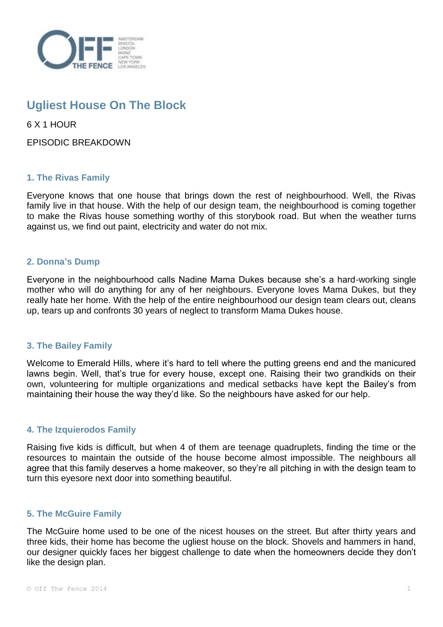

# **Ugliest House On The Block**

6 X 1 HOUR

EPISODIC BREAKDOWN

## **1. The Rivas Family**

Everyone knows that one house that brings down the rest of neighbourhood. Well, the Rivas family live in that house. With the help of our design team, the neighbourhood is coming together to make the Rivas house something worthy of this storybook road. But when the weather turns against us, we find out paint, electricity and water do not mix.

## **2. Donna's Dump**

Everyone in the neighbourhood calls Nadine Mama Dukes because she's a hard-working single mother who will do anything for any of her neighbours. Everyone loves Mama Dukes, but they really hate her home. With the help of the entire neighbourhood our design team clears out, cleans up, tears up and confronts 30 years of neglect to transform Mama Dukes house.

## **3. The Bailey Family**

Welcome to Emerald Hills, where it's hard to tell where the putting greens end and the manicured lawns begin. Well, that's true for every house, except one. Raising their two grandkids on their own, volunteering for multiple organizations and medical setbacks have kept the Bailey's from maintaining their house the way they'd like. So the neighbours have asked for our help.

## **4. The Izquierodos Family**

Raising five kids is difficult, but when 4 of them are teenage quadruplets, finding the time or the resources to maintain the outside of the house become almost impossible. The neighbours all agree that this family deserves a home makeover, so they're all pitching in with the design team to turn this eyesore next door into something beautiful.

## **5. The McGuire Family**

The McGuire home used to be one of the nicest houses on the street. But after thirty years and three kids, their home has become the ugliest house on the block. Shovels and hammers in hand, our designer quickly faces her biggest challenge to date when the homeowners decide they don't like the design plan.